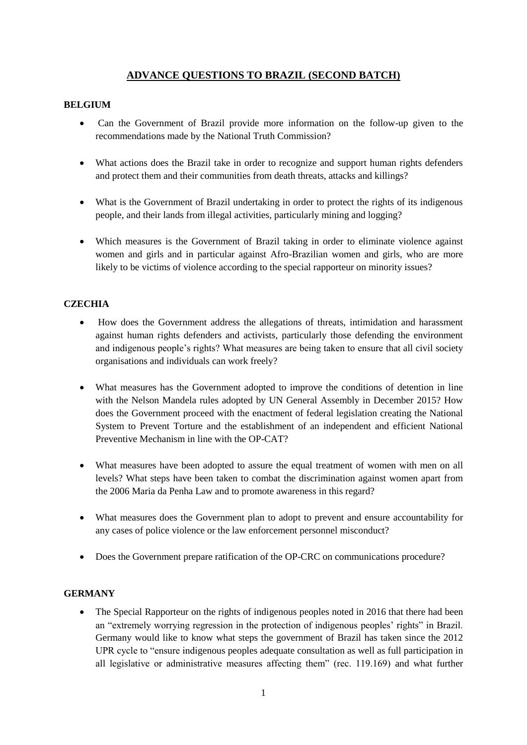# **ADVANCE QUESTIONS TO BRAZIL (SECOND BATCH)**

## **BELGIUM**

- Can the Government of Brazil provide more information on the follow-up given to the recommendations made by the National Truth Commission?
- What actions does the Brazil take in order to recognize and support human rights defenders and protect them and their communities from death threats, attacks and killings?
- What is the Government of Brazil undertaking in order to protect the rights of its indigenous people, and their lands from illegal activities, particularly mining and logging?
- Which measures is the Government of Brazil taking in order to eliminate violence against women and girls and in particular against Afro-Brazilian women and girls, who are more likely to be victims of violence according to the special rapporteur on minority issues?

## **CZECHIA**

- How does the Government address the allegations of threats, intimidation and harassment against human rights defenders and activists, particularly those defending the environment and indigenous people's rights? What measures are being taken to ensure that all civil society organisations and individuals can work freely?
- What measures has the Government adopted to improve the conditions of detention in line with the Nelson Mandela rules adopted by UN General Assembly in December 2015? How does the Government proceed with the enactment of federal legislation creating the National System to Prevent Torture and the establishment of an independent and efficient National Preventive Mechanism in line with the OP-CAT?
- What measures have been adopted to assure the equal treatment of women with men on all levels? What steps have been taken to combat the discrimination against women apart from the 2006 Maria da Penha Law and to promote awareness in this regard?
- What measures does the Government plan to adopt to prevent and ensure accountability for any cases of police violence or the law enforcement personnel misconduct?
- Does the Government prepare ratification of the OP-CRC on communications procedure?

#### **GERMANY**

• The Special Rapporteur on the rights of indigenous peoples noted in 2016 that there had been an "extremely worrying regression in the protection of indigenous peoples' rights" in Brazil. Germany would like to know what steps the government of Brazil has taken since the 2012 UPR cycle to "ensure indigenous peoples adequate consultation as well as full participation in all legislative or administrative measures affecting them" (rec. 119.169) and what further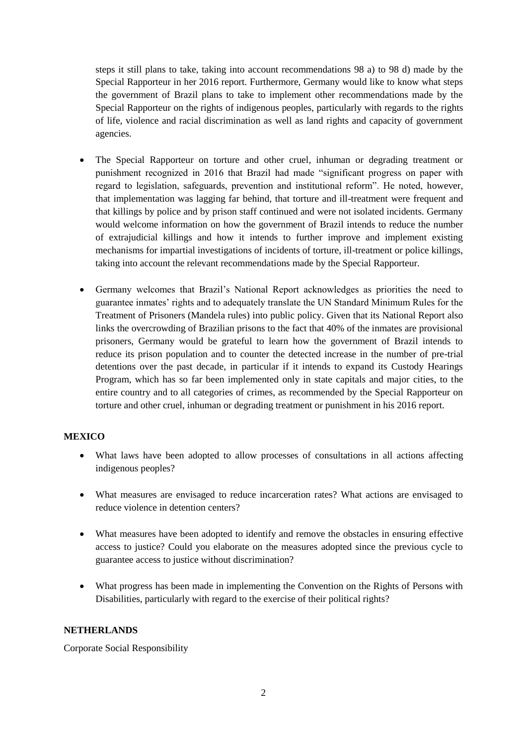steps it still plans to take, taking into account recommendations 98 a) to 98 d) made by the Special Rapporteur in her 2016 report. Furthermore, Germany would like to know what steps the government of Brazil plans to take to implement other recommendations made by the Special Rapporteur on the rights of indigenous peoples, particularly with regards to the rights of life, violence and racial discrimination as well as land rights and capacity of government agencies.

- The Special Rapporteur on torture and other cruel, inhuman or degrading treatment or punishment recognized in 2016 that Brazil had made "significant progress on paper with regard to legislation, safeguards, prevention and institutional reform". He noted, however, that implementation was lagging far behind, that torture and ill-treatment were frequent and that killings by police and by prison staff continued and were not isolated incidents. Germany would welcome information on how the government of Brazil intends to reduce the number of extrajudicial killings and how it intends to further improve and implement existing mechanisms for impartial investigations of incidents of torture, ill-treatment or police killings, taking into account the relevant recommendations made by the Special Rapporteur.
- Germany welcomes that Brazil's National Report acknowledges as priorities the need to guarantee inmates' rights and to adequately translate the UN Standard Minimum Rules for the Treatment of Prisoners (Mandela rules) into public policy. Given that its National Report also links the overcrowding of Brazilian prisons to the fact that 40% of the inmates are provisional prisoners, Germany would be grateful to learn how the government of Brazil intends to reduce its prison population and to counter the detected increase in the number of pre-trial detentions over the past decade, in particular if it intends to expand its Custody Hearings Program, which has so far been implemented only in state capitals and major cities, to the entire country and to all categories of crimes, as recommended by the Special Rapporteur on torture and other cruel, inhuman or degrading treatment or punishment in his 2016 report.

#### **MEXICO**

- What laws have been adopted to allow processes of consultations in all actions affecting indigenous peoples?
- What measures are envisaged to reduce incarceration rates? What actions are envisaged to reduce violence in detention centers?
- What measures have been adopted to identify and remove the obstacles in ensuring effective access to justice? Could you elaborate on the measures adopted since the previous cycle to guarantee access to justice without discrimination?
- What progress has been made in implementing the Convention on the Rights of Persons with Disabilities, particularly with regard to the exercise of their political rights?

#### **NETHERLANDS**

Corporate Social Responsibility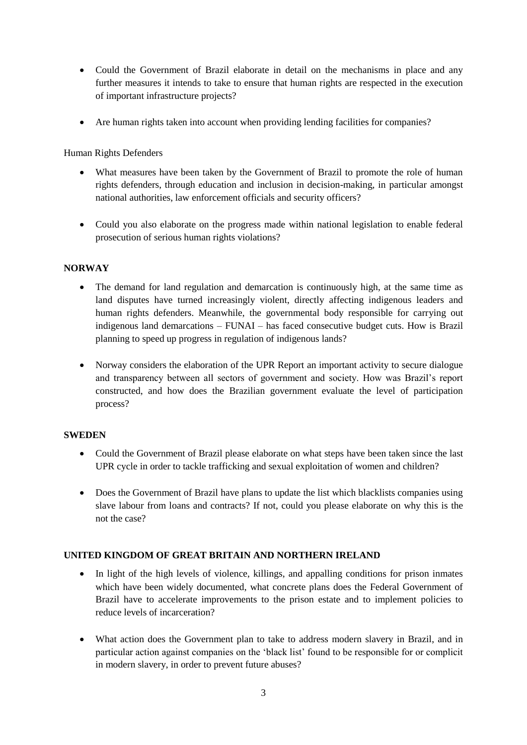- Could the Government of Brazil elaborate in detail on the mechanisms in place and any further measures it intends to take to ensure that human rights are respected in the execution of important infrastructure projects?
- Are human rights taken into account when providing lending facilities for companies?

Human Rights Defenders

- What measures have been taken by the Government of Brazil to promote the role of human rights defenders, through education and inclusion in decision-making, in particular amongst national authorities, law enforcement officials and security officers?
- Could you also elaborate on the progress made within national legislation to enable federal prosecution of serious human rights violations?

### **NORWAY**

- The demand for land regulation and demarcation is continuously high, at the same time as land disputes have turned increasingly violent, directly affecting indigenous leaders and human rights defenders. Meanwhile, the governmental body responsible for carrying out indigenous land demarcations – FUNAI – has faced consecutive budget cuts. How is Brazil planning to speed up progress in regulation of indigenous lands?
- Norway considers the elaboration of the UPR Report an important activity to secure dialogue and transparency between all sectors of government and society. How was Brazil's report constructed, and how does the Brazilian government evaluate the level of participation process?

#### **SWEDEN**

- Could the Government of Brazil please elaborate on what steps have been taken since the last UPR cycle in order to tackle trafficking and sexual exploitation of women and children?
- Does the Government of Brazil have plans to update the list which blacklists companies using slave labour from loans and contracts? If not, could you please elaborate on why this is the not the case?

## **UNITED KINGDOM OF GREAT BRITAIN AND NORTHERN IRELAND**

- In light of the high levels of violence, killings, and appalling conditions for prison inmates which have been widely documented, what concrete plans does the Federal Government of Brazil have to accelerate improvements to the prison estate and to implement policies to reduce levels of incarceration?
- What action does the Government plan to take to address modern slavery in Brazil, and in particular action against companies on the 'black list' found to be responsible for or complicit in modern slavery, in order to prevent future abuses?